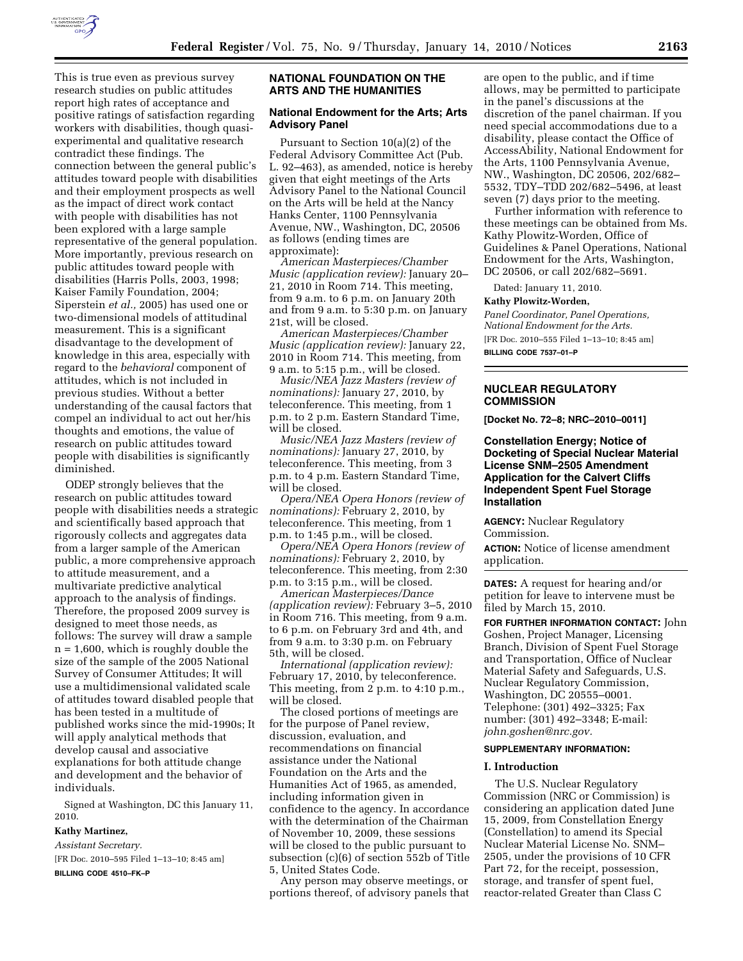

This is true even as previous survey research studies on public attitudes report high rates of acceptance and positive ratings of satisfaction regarding workers with disabilities, though quasiexperimental and qualitative research contradict these findings. The connection between the general public's attitudes toward people with disabilities and their employment prospects as well as the impact of direct work contact with people with disabilities has not been explored with a large sample representative of the general population. More importantly, previous research on public attitudes toward people with disabilities (Harris Polls, 2003, 1998; Kaiser Family Foundation, 2004; Siperstein *et al.,* 2005) has used one or two-dimensional models of attitudinal measurement. This is a significant disadvantage to the development of knowledge in this area, especially with regard to the *behavioral* component of attitudes, which is not included in previous studies. Without a better understanding of the causal factors that compel an individual to act out her/his thoughts and emotions, the value of research on public attitudes toward people with disabilities is significantly diminished.

ODEP strongly believes that the research on public attitudes toward people with disabilities needs a strategic and scientifically based approach that rigorously collects and aggregates data from a larger sample of the American public, a more comprehensive approach to attitude measurement, and a multivariate predictive analytical approach to the analysis of findings. Therefore, the proposed 2009 survey is designed to meet those needs, as follows: The survey will draw a sample n = 1,600, which is roughly double the size of the sample of the 2005 National Survey of Consumer Attitudes; It will use a multidimensional validated scale of attitudes toward disabled people that has been tested in a multitude of published works since the mid-1990s; It will apply analytical methods that develop causal and associative explanations for both attitude change and development and the behavior of individuals.

Signed at Washington, DC this January 11, 2010.

## **Kathy Martinez,**

*Assistant Secretary.* 

[FR Doc. 2010–595 Filed 1–13–10; 8:45 am]

**BILLING CODE 4510–FK–P** 

# **NATIONAL FOUNDATION ON THE ARTS AND THE HUMANITIES**

## **National Endowment for the Arts; Arts Advisory Panel**

Pursuant to Section 10(a)(2) of the Federal Advisory Committee Act (Pub. L. 92–463), as amended, notice is hereby given that eight meetings of the Arts Advisory Panel to the National Council on the Arts will be held at the Nancy Hanks Center, 1100 Pennsylvania Avenue, NW., Washington, DC, 20506 as follows (ending times are approximate):

*American Masterpieces/Chamber Music (application review):* January 20– 21, 2010 in Room 714. This meeting, from 9 a.m. to 6 p.m. on January 20th and from 9 a.m. to 5:30 p.m. on January 21st, will be closed.

*American Masterpieces/Chamber Music (application review):* January 22, 2010 in Room 714. This meeting, from 9 a.m. to 5:15 p.m., will be closed.

*Music/NEA Jazz Masters (review of nominations):* January 27, 2010, by teleconference. This meeting, from 1 p.m. to 2 p.m. Eastern Standard Time, will be closed.

*Music/NEA Jazz Masters (review of nominations):* January 27, 2010, by teleconference. This meeting, from 3 p.m. to 4 p.m. Eastern Standard Time, will be closed.

*Opera/NEA Opera Honors (review of nominations):* February 2, 2010, by teleconference. This meeting, from 1 p.m. to 1:45 p.m., will be closed.

*Opera/NEA Opera Honors (review of nominations):* February 2, 2010, by teleconference. This meeting, from 2:30 p.m. to 3:15 p.m., will be closed.

*American Masterpieces/Dance (application review):* February 3–5, 2010 in Room 716. This meeting, from 9 a.m. to 6 p.m. on February 3rd and 4th, and from 9 a.m. to 3:30 p.m. on February 5th, will be closed.

*International (application review):*  February 17, 2010, by teleconference. This meeting, from 2 p.m. to 4:10 p.m., will be closed.

The closed portions of meetings are for the purpose of Panel review, discussion, evaluation, and recommendations on financial assistance under the National Foundation on the Arts and the Humanities Act of 1965, as amended, including information given in confidence to the agency. In accordance with the determination of the Chairman of November 10, 2009, these sessions will be closed to the public pursuant to subsection (c)(6) of section 552b of Title 5, United States Code.

Any person may observe meetings, or portions thereof, of advisory panels that

are open to the public, and if time allows, may be permitted to participate in the panel's discussions at the discretion of the panel chairman. If you need special accommodations due to a disability, please contact the Office of AccessAbility, National Endowment for the Arts, 1100 Pennsylvania Avenue, NW., Washington, DC 20506, 202/682– 5532, TDY–TDD 202/682–5496, at least seven (7) days prior to the meeting.

Further information with reference to these meetings can be obtained from Ms. Kathy Plowitz-Worden, Office of Guidelines & Panel Operations, National Endowment for the Arts, Washington, DC 20506, or call 202/682–5691.

Dated: January 11, 2010.

## **Kathy Plowitz-Worden,**

*Panel Coordinator, Panel Operations, National Endowment for the Arts.*  [FR Doc. 2010–555 Filed 1–13–10; 8:45 am]

**BILLING CODE 7537–01–P** 

### **NUCLEAR REGULATORY COMMISSION**

**[Docket No. 72–8; NRC–2010–0011]** 

## **Constellation Energy; Notice of Docketing of Special Nuclear Material License SNM–2505 Amendment Application for the Calvert Cliffs Independent Spent Fuel Storage Installation**

**AGENCY:** Nuclear Regulatory Commission.

**ACTION:** Notice of license amendment application.

**DATES:** A request for hearing and/or petition for leave to intervene must be filed by March 15, 2010.

**FOR FURTHER INFORMATION CONTACT:** John Goshen, Project Manager, Licensing Branch, Division of Spent Fuel Storage and Transportation, Office of Nuclear Material Safety and Safeguards, U.S. Nuclear Regulatory Commission, Washington, DC 20555–0001. Telephone: (301) 492–3325; Fax number: (301) 492–3348; E-mail: *john.goshen@nrc.gov.* 

## **SUPPLEMENTARY INFORMATION:**

## **I. Introduction**

The U.S. Nuclear Regulatory Commission (NRC or Commission) is considering an application dated June 15, 2009, from Constellation Energy (Constellation) to amend its Special Nuclear Material License No. SNM– 2505, under the provisions of 10 CFR Part 72, for the receipt, possession, storage, and transfer of spent fuel, reactor-related Greater than Class C